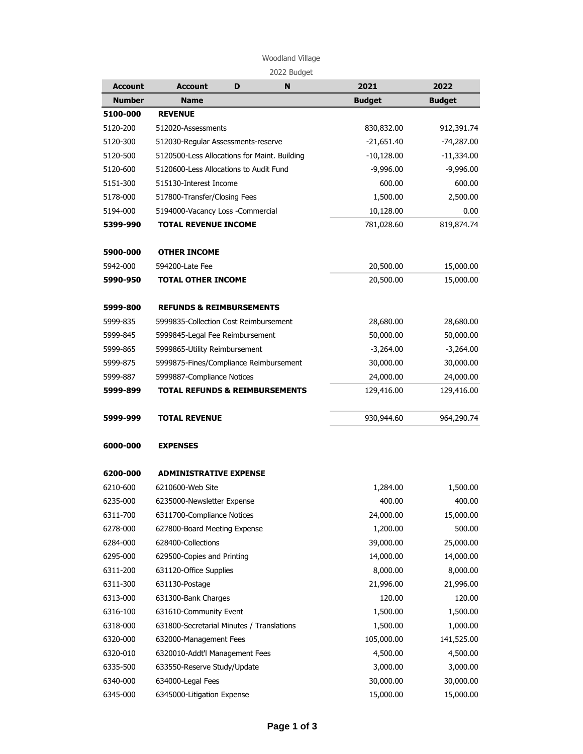## Woodland Village

| 51 IC IC<br>16 |  |
|----------------|--|
|----------------|--|

| <b>Account</b> | <b>Account</b>                               | D | N | 2021          | 2022          |
|----------------|----------------------------------------------|---|---|---------------|---------------|
| <b>Number</b>  | <b>Name</b>                                  |   |   | <b>Budget</b> | <b>Budget</b> |
| 5100-000       | <b>REVENUE</b>                               |   |   |               |               |
| 5120-200       | 512020-Assessments                           |   |   | 830,832.00    | 912,391.74    |
| 5120-300       | 512030-Regular Assessments-reserve           |   |   | $-21,651.40$  | $-74,287.00$  |
| 5120-500       | 5120500-Less Allocations for Maint. Building |   |   | $-10,128.00$  | $-11,334.00$  |
| 5120-600       | 5120600-Less Allocations to Audit Fund       |   |   | $-9,996.00$   | $-9,996.00$   |
| 5151-300       | 515130-Interest Income                       |   |   | 600.00        | 600.00        |
| 5178-000       | 517800-Transfer/Closing Fees                 |   |   | 1,500.00      | 2,500.00      |
| 5194-000       | 5194000-Vacancy Loss -Commercial             |   |   | 10,128.00     | 0.00          |
| 5399-990       | <b>TOTAL REVENUE INCOME</b>                  |   |   | 781,028.60    | 819,874.74    |
| 5900-000       | <b>OTHER INCOME</b>                          |   |   |               |               |
| 5942-000       | 594200-Late Fee                              |   |   | 20,500.00     | 15,000.00     |
| 5990-950       | <b>TOTAL OTHER INCOME</b>                    |   |   | 20,500.00     | 15,000.00     |
| 5999-800       | <b>REFUNDS &amp; REIMBURSEMENTS</b>          |   |   |               |               |
| 5999-835       | 5999835-Collection Cost Reimbursement        |   |   | 28,680.00     | 28,680.00     |
| 5999-845       | 5999845-Legal Fee Reimbursement              |   |   | 50,000.00     | 50,000.00     |
| 5999-865       | 5999865-Utility Reimbursement                |   |   | $-3,264.00$   | $-3,264.00$   |
| 5999-875       | 5999875-Fines/Compliance Reimbursement       |   |   | 30,000.00     | 30,000.00     |
| 5999-887       | 5999887-Compliance Notices                   |   |   | 24,000.00     | 24,000.00     |
| 5999-899       | <b>TOTAL REFUNDS &amp; REIMBURSEMENTS</b>    |   |   | 129,416.00    | 129,416.00    |
| 5999-999       | <b>TOTAL REVENUE</b>                         |   |   | 930,944.60    | 964,290.74    |
| 6000-000       | <b>EXPENSES</b>                              |   |   |               |               |
| 6200-000       | <b>ADMINISTRATIVE EXPENSE</b>                |   |   |               |               |
| 6210-600       | 6210600-Web Site                             |   |   | 1,284.00      | 1,500.00      |
| 6235-000       | 6235000-Newsletter Expense                   |   |   | 400.00        | 400.00        |
| 6311-700       | 6311700-Compliance Notices                   |   |   | 24,000.00     | 15,000.00     |
| 6278-000       | 627800-Board Meeting Expense                 |   |   | 1,200.00      | 500.00        |
| 6284-000       | 628400-Collections                           |   |   | 39,000.00     | 25,000.00     |
| 6295-000       | 629500-Copies and Printing                   |   |   | 14,000.00     | 14,000.00     |
| 6311-200       | 631120-Office Supplies                       |   |   | 8,000.00      | 8,000.00      |
| 6311-300       | 631130-Postage                               |   |   | 21,996.00     | 21,996.00     |
| 6313-000       | 631300-Bank Charges                          |   |   | 120.00        | 120.00        |
| 6316-100       | 631610-Community Event                       |   |   | 1,500.00      | 1,500.00      |
| 6318-000       | 631800-Secretarial Minutes / Translations    |   |   | 1,500.00      | 1,000.00      |
| 6320-000       | 632000-Management Fees                       |   |   | 105,000.00    | 141,525.00    |
| 6320-010       | 6320010-Addt'l Management Fees               |   |   | 4,500.00      | 4,500.00      |
| 6335-500       | 633550-Reserve Study/Update                  |   |   | 3,000.00      | 3,000.00      |
| 6340-000       | 634000-Legal Fees                            |   |   | 30,000.00     | 30,000.00     |
| 6345-000       | 6345000-Litigation Expense                   |   |   | 15,000.00     | 15,000.00     |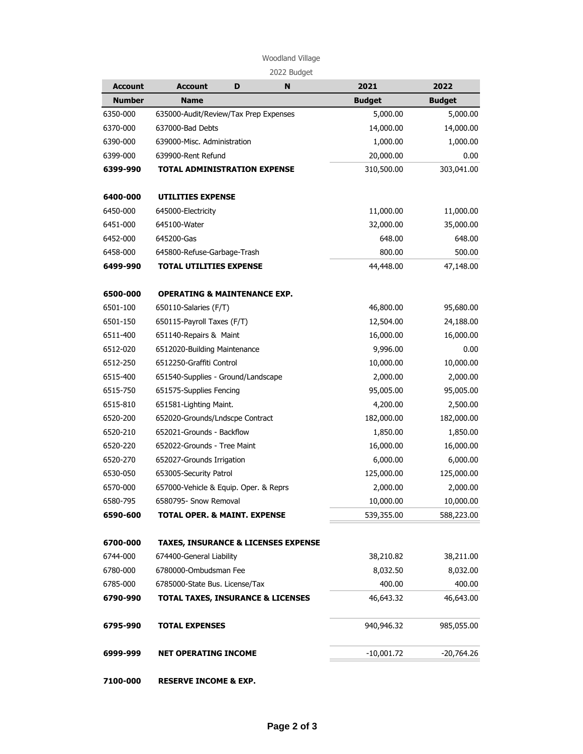## Woodland Village

| <b>Account</b> | <b>Account</b>                                 | D | N | 2021          | 2022          |
|----------------|------------------------------------------------|---|---|---------------|---------------|
| <b>Number</b>  | <b>Name</b>                                    |   |   | <b>Budget</b> | <b>Budget</b> |
| 6350-000       | 635000-Audit/Review/Tax Prep Expenses          |   |   | 5,000.00      | 5,000.00      |
| 6370-000       | 637000-Bad Debts                               |   |   | 14,000.00     | 14,000.00     |
| 6390-000       | 639000-Misc. Administration                    |   |   | 1,000.00      | 1,000.00      |
| 6399-000       | 639900-Rent Refund                             |   |   | 20,000.00     | 0.00          |
| 6399-990       | <b>TOTAL ADMINISTRATION EXPENSE</b>            |   |   | 310,500.00    | 303,041.00    |
| 6400-000       | <b>UTILITIES EXPENSE</b>                       |   |   |               |               |
| 6450-000       | 645000-Electricity                             |   |   | 11,000.00     | 11,000.00     |
| 6451-000       | 645100-Water                                   |   |   | 32,000.00     | 35,000.00     |
| 6452-000       | 645200-Gas                                     |   |   | 648.00        | 648.00        |
| 6458-000       | 645800-Refuse-Garbage-Trash                    |   |   | 800.00        | 500.00        |
| 6499-990       | <b>TOTAL UTILITIES EXPENSE</b>                 |   |   | 44,448.00     | 47,148.00     |
| 6500-000       | <b>OPERATING &amp; MAINTENANCE EXP.</b>        |   |   |               |               |
| 6501-100       | 650110-Salaries (F/T)                          |   |   | 46,800.00     | 95,680.00     |
| 6501-150       | 650115-Payroll Taxes (F/T)                     |   |   | 12,504.00     | 24,188.00     |
| 6511-400       | 651140-Repairs & Maint                         |   |   | 16,000.00     | 16,000.00     |
| 6512-020       | 6512020-Building Maintenance                   |   |   | 9,996.00      | 0.00          |
| 6512-250       | 6512250-Graffiti Control                       |   |   | 10,000.00     | 10,000.00     |
| 6515-400       | 651540-Supplies - Ground/Landscape             |   |   | 2,000.00      | 2,000.00      |
| 6515-750       | 651575-Supplies Fencing                        |   |   | 95,005.00     | 95,005.00     |
| 6515-810       | 651581-Lighting Maint.                         |   |   | 4,200.00      | 2,500.00      |
| 6520-200       | 652020-Grounds/Lndscpe Contract                |   |   | 182,000.00    | 182,000.00    |
| 6520-210       | 652021-Grounds - Backflow                      |   |   | 1,850.00      | 1,850.00      |
| 6520-220       | 652022-Grounds - Tree Maint                    |   |   | 16,000.00     | 16,000.00     |
| 6520-270       | 652027-Grounds Irrigation                      |   |   | 6,000.00      | 6,000.00      |
| 6530-050       | 653005-Security Patrol                         |   |   | 125,000.00    | 125,000.00    |
| 6570-000       | 657000-Vehicle & Equip. Oper. & Reprs          |   |   | 2,000.00      | 2,000.00      |
| 6580-795       | 6580795- Snow Removal                          |   |   | 10,000.00     | 10,000.00     |
| 6590-600       | <b>TOTAL OPER. &amp; MAINT. EXPENSE</b>        |   |   | 539,355.00    | 588,223.00    |
| 6700-000       | <b>TAXES, INSURANCE &amp; LICENSES EXPENSE</b> |   |   |               |               |
| 6744-000       | 674400-General Liability                       |   |   | 38,210.82     | 38,211.00     |
| 6780-000       | 6780000-Ombudsman Fee                          |   |   | 8,032.50      | 8,032.00      |
| 6785-000       | 6785000-State Bus. License/Tax                 |   |   | 400.00        | 400.00        |
| 6790-990       | <b>TOTAL TAXES, INSURANCE &amp; LICENSES</b>   |   |   | 46,643.32     | 46,643.00     |
| 6795-990       | <b>TOTAL EXPENSES</b>                          |   |   | 940,946.32    | 985,055.00    |
| 6999-999       | <b>NET OPERATING INCOME</b>                    |   |   | $-10,001.72$  | -20,764.26    |
|                |                                                |   |   |               |               |

**7100-000 RESERVE INCOME & EXP.**